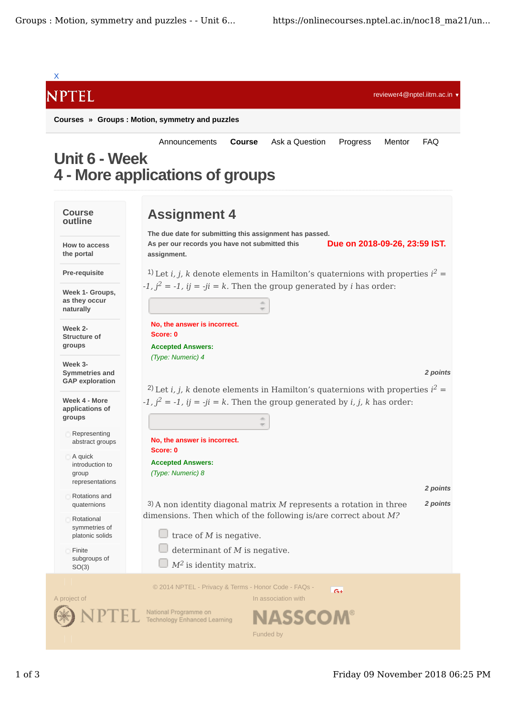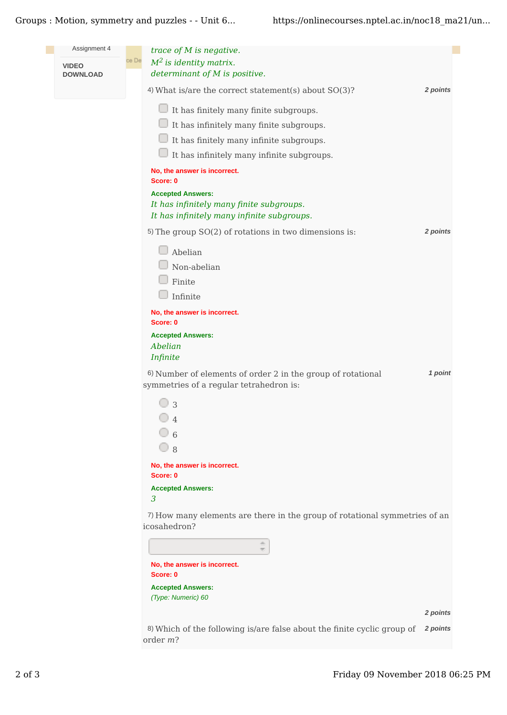Groups : Motion, symmetry and puzzles - - Unit 6... https://onlinecourses.nptel.ac.in/noc18 ma21/un...